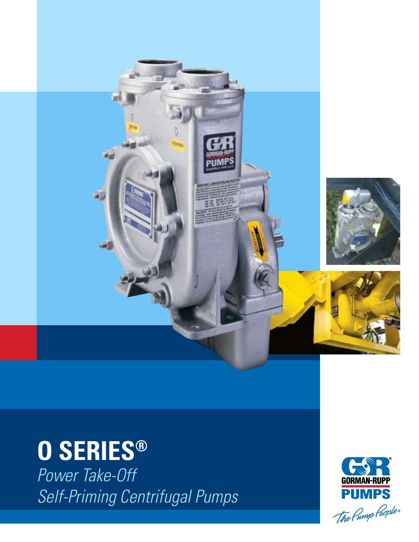

# O SERIES®

Power Take-Off Self-Priming Centrifugal Pumps

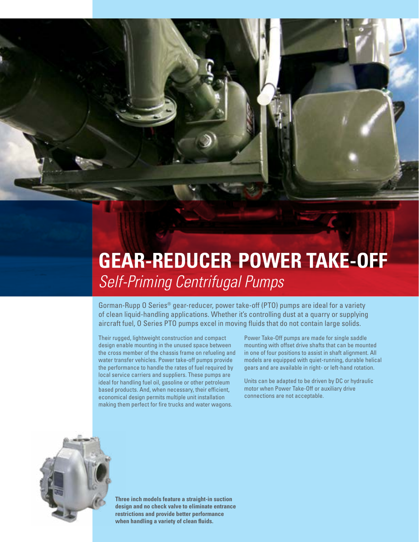# **GEAR-REDUCER POWER TAKE-OFF** *Self-Priming Centrifugal Pumps*

Gorman-Rupp O Series® gear-reducer, power take-off (PTO) pumps are ideal for a variety of clean liquid-handling applications. Whether it's controlling dust at a quarry or supplying aircraft fuel, O Series PTO pumps excel in moving fluids that do not contain large solids.

Their rugged, lightweight construction and compact design enable mounting in the unused space between the cross member of the chassis frame on refueling and water transfer vehicles. Power take-off pumps provide the performance to handle the rates of fuel required by local service carriers and suppliers. These pumps are ideal for handling fuel oil, gasoline or other petroleum based products. And, when necessary, their efficient, economical design permits multiple unit installation making them perfect for fire trucks and water wagons.

Power Take-Off pumps are made for single saddle mounting with offset drive shafts that can be mounted in one of four positions to assist in shaft alignment. All models are equipped with quiet-running, durable helical gears and are available in right- or left-hand rotation.

Units can be adapted to be driven by DC or hydraulic motor when Power Take-Off or auxiliary drive connections are not acceptable.



**Three inch models feature a straight-in suction design and no check valve to eliminate entrance restrictions and provide better performance when handling a variety of clean fluids.**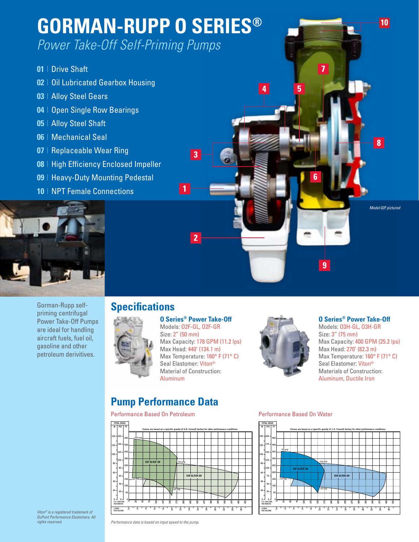

### Gorman-Rupp selfpriming centrifugal Power Take-Off Pumps are ideal for handling aircraft fuels, fuel oil, gasoline and other petroleum derivitives.

## **Specifications**

**O Series® Power Take-Off** Models: O2F-GL, O2F-GR Size: 2" (50 mm) Max Capacity: 178 GPM (11.2 lps) Max Head: 440' (134.1 m) Max Temperature: 160° F (71° C) Seal Elastomer: Viton® Material of Construction: Aluminum



#### **O Series® Power Take-Off** Models: O3H-GL, O3H-GR Size: 3" (75 mm) Max Capacity: 400 GPM (25.2 lps) Max Head: 270' (82.3 m) Max Temperature: 160° F (71° C) Seal Elastomer: Viton®

Materials of Construction: Aluminum, Ductile Iron

## **Pump Performance Data**

### Performance Based On Petroleum **Performance Based On Water**





*Viton® is a registered trademark of DuPont Performance Elastomers. All rights reserved.*

*Performance data is based on input speed to the pump.*